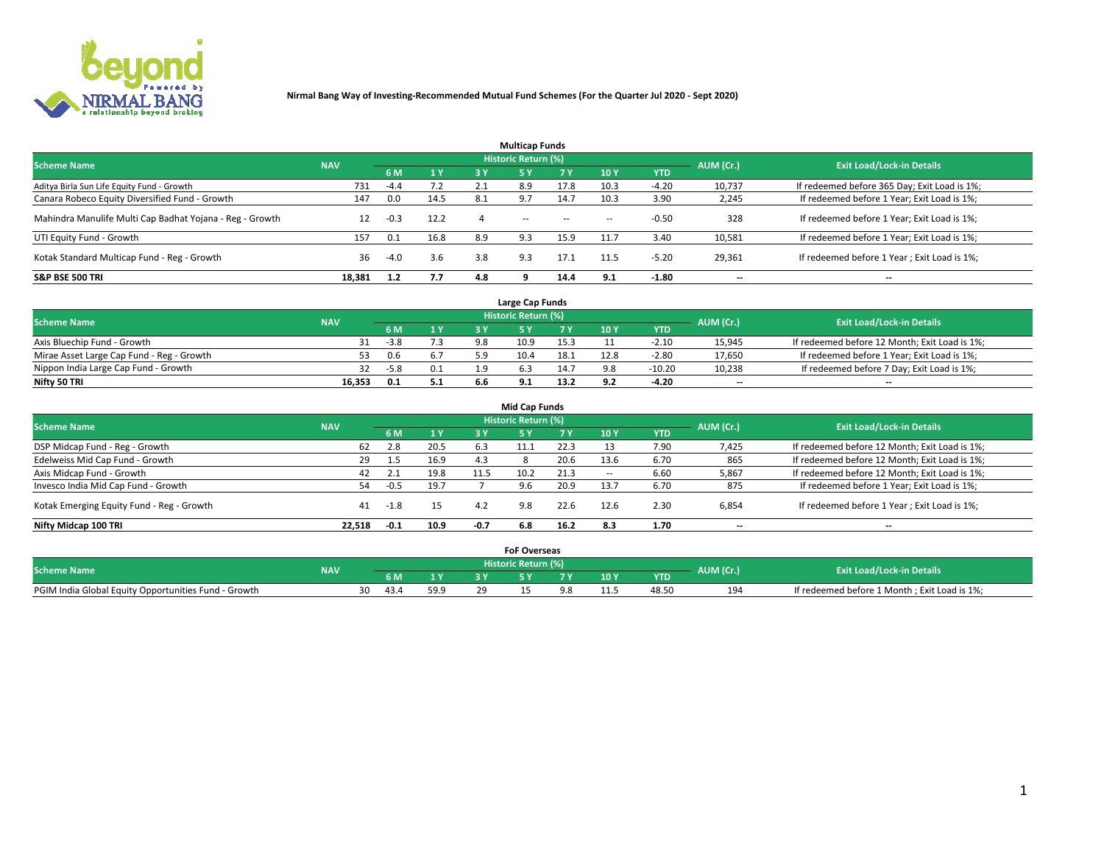

|                                                          |            |        |      |     | <b>Multicap Funds</b> |           |      |            |           |                                              |
|----------------------------------------------------------|------------|--------|------|-----|-----------------------|-----------|------|------------|-----------|----------------------------------------------|
| <b>Scheme Name</b>                                       | <b>NAV</b> |        |      |     | Historic Return (%)   |           |      |            | AUM (Cr.) | <b>Exit Load/Lock-in Details</b>             |
|                                                          |            | 6 M    | 1Y   | 3 Y | <b>5Y</b>             | <b>7Y</b> | 10Y  | <b>YTD</b> |           |                                              |
| Aditya Birla Sun Life Equity Fund - Growth               | 731        | $-4.4$ |      |     | 8.9                   | 17.8      | 10.3 | $-4.20$    | 10,737    | If redeemed before 365 Day; Exit Load is 1%; |
| Canara Robeco Equity Diversified Fund - Growth           | 147        | 0.0    | 14.5 | 8.1 | 9.7                   | 14.7      | 10.3 | 3.90       | 2,245     | If redeemed before 1 Year; Exit Load is 1%;  |
| Mahindra Manulife Multi Cap Badhat Yojana - Reg - Growth | 12         | $-0.3$ | 12.2 |     | $\sim$                | $\sim$    | $-$  | $-0.50$    | 328       | If redeemed before 1 Year; Exit Load is 1%;  |
| UTI Equity Fund - Growth                                 | 157        | 0.1    | 16.8 | 8.9 | 9.3                   | 15.9      | 11.7 | 3.40       | 10,581    | If redeemed before 1 Year; Exit Load is 1%;  |
| Kotak Standard Multicap Fund - Reg - Growth              | 36         | $-4.0$ | 3.6  | 3.8 | 9.3                   | 17.1      | 11.5 | $-5.20$    | 29,361    | If redeemed before 1 Year; Exit Load is 1%;  |
| <b>S&amp;P BSE 500 TRI</b>                               | 18.381     | 1.2    | 7.7  | 4.8 |                       | 14.4      | 9.1  | $-1.80$    | --        | $- -$                                        |

|                                           |            |        |                |     | Large Cap Funds     |      |      |            |                          |                                               |
|-------------------------------------------|------------|--------|----------------|-----|---------------------|------|------|------------|--------------------------|-----------------------------------------------|
| <b>Scheme Name</b>                        | <b>NAV</b> |        |                |     | Historic Return (%) |      |      |            | AUM (Cr.)                | <b>Exit Load/Lock-in Details</b>              |
|                                           |            | 6 M    | 4 <sub>Y</sub> |     |                     |      | 10 Y | <b>YTD</b> |                          |                                               |
| Axis Bluechip Fund - Growth               |            | $-3.8$ |                | 9.8 | 10.9                | 15.3 |      | $-2.10$    | 15,945                   | If redeemed before 12 Month; Exit Load is 1%; |
| Mirae Asset Large Cap Fund - Reg - Growth |            | 0.6    |                |     | 10.4                | 18.1 | 12.8 | $-2.80$    | 17,650                   | If redeemed before 1 Year; Exit Load is 1%;   |
| Nippon India Large Cap Fund - Growth      |            | $-5.8$ | 0.1            |     |                     | 14.7 |      | $-10.20$   | 10,238                   | If redeemed before 7 Day; Exit Load is 1%;    |
| Nifty 50 TRI                              | 16,353     | 0.1    | 5.1            | 6.6 |                     | 13.2 |      | -4.20      | $\overline{\phantom{a}}$ | $- -$                                         |

| <b>Mid Cap Funds</b>                      |            |                  |      |        |                     |           |            |            |                          |                                               |  |  |  |  |
|-------------------------------------------|------------|------------------|------|--------|---------------------|-----------|------------|------------|--------------------------|-----------------------------------------------|--|--|--|--|
| <b>Scheme Name</b>                        | <b>NAV</b> |                  |      |        | Historic Return (%) |           |            |            | AUM (Cr.)                | <b>Exit Load/Lock-in Details</b>              |  |  |  |  |
|                                           |            | 6 M              | 1 Y  | 3 Y    | .5 Y                | <b>7Y</b> | <b>10Y</b> | <b>YTD</b> |                          |                                               |  |  |  |  |
| DSP Midcap Fund - Reg - Growth            | 62         | 2.8              | 20.5 | 6.3    |                     | 22.3      |            | 7.90       | 7,425                    | If redeemed before 12 Month; Exit Load is 1%; |  |  |  |  |
| Edelweiss Mid Cap Fund - Growth           | 29         | 1.5 <sub>1</sub> | 16.9 | 4.3    |                     | 20.6      | 13.6       | 6.70       | 865                      | If redeemed before 12 Month; Exit Load is 1%; |  |  |  |  |
| Axis Midcap Fund - Growth                 | 42         | 2.1              | 19.8 | 11.5   |                     | 21.3      | $-$        | 6.60       | 5,867                    | If redeemed before 12 Month; Exit Load is 1%; |  |  |  |  |
| Invesco India Mid Cap Fund - Growth       | 54         | $-0.5$           | 19.7 |        | 9.6                 | 20.9      | 13.7       | 6.70       | 875                      | If redeemed before 1 Year; Exit Load is 1%;   |  |  |  |  |
| Kotak Emerging Equity Fund - Reg - Growth | 41         | $-1.8$           | 15   | 4.2    | 9.8                 | 22.6      | 12.6       | 2.30       | 6,854                    | If redeemed before 1 Year; Exit Load is 1%;   |  |  |  |  |
| Nifty Midcap 100 TRI                      | 22.518     | $-0.1$           | 10.9 | $-0.7$ | 6.8                 | 16.2      | 8.3        | 1.70       | $\overline{\phantom{a}}$ | $- -$                                         |  |  |  |  |

|                                                      |            |      |      | <b>FoF Overseas</b> |      |            |           |                                              |
|------------------------------------------------------|------------|------|------|---------------------|------|------------|-----------|----------------------------------------------|
| <b>Scheme Name</b>                                   | <b>NAV</b> |      |      | Historic Return (%) |      |            | AUM (Cr.) | <b>Exit Load/Lock-in Details</b>             |
|                                                      |            | 6 M  | 1Y   |                     | 10 Y | <b>YTD</b> |           |                                              |
| PGIM India Global Equity Opportunities Fund - Growth |            | 43.4 | 59.9 |                     |      | 48.50      | 194       | If redeemed before 1 Month; Exit Load is 1%; |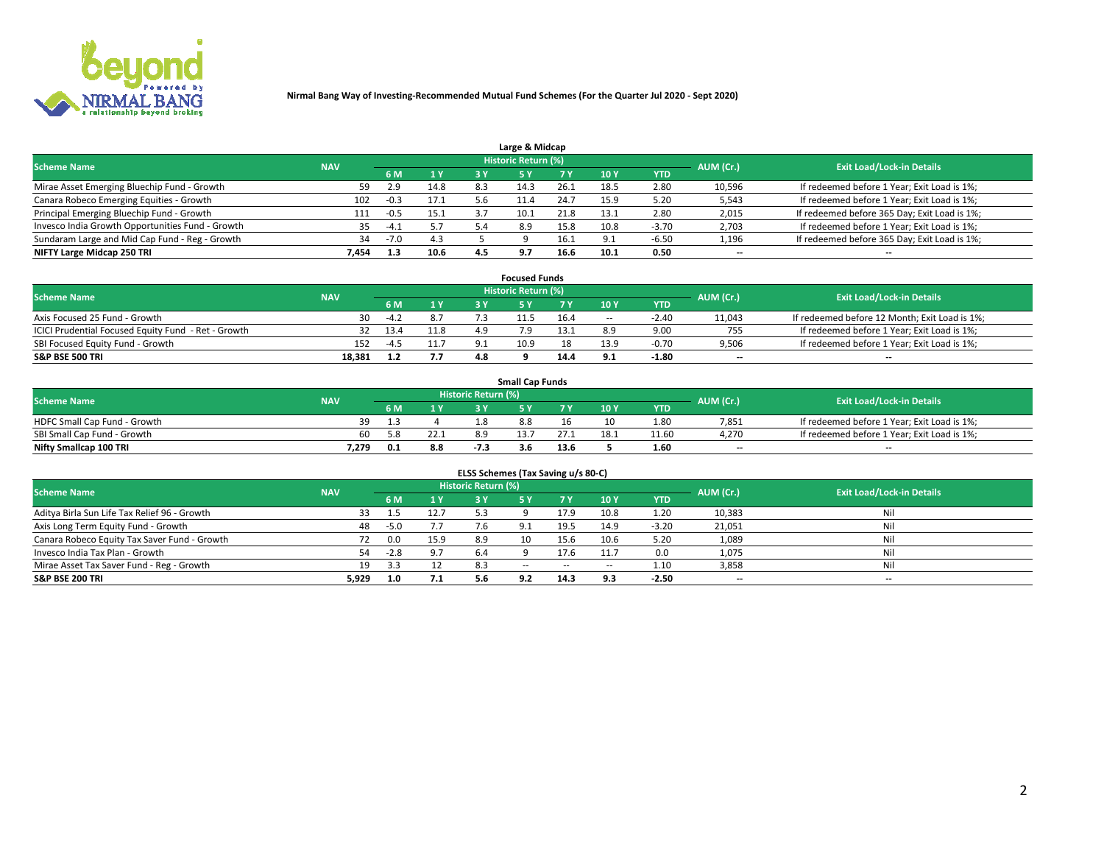

|                                                  |            |        |      |     | Large & Midcap             |      |            |         |                          |                                              |
|--------------------------------------------------|------------|--------|------|-----|----------------------------|------|------------|---------|--------------------------|----------------------------------------------|
| <b>Scheme Name</b>                               | <b>NAV</b> |        |      |     | <b>Historic Return (%)</b> |      |            |         | AUM (Cr.)                | <b>Exit Load/Lock-in Details</b>             |
|                                                  |            | 6 M    | 1Y   | 3 Y |                            | 7 V  | 10Y        | YTD     |                          |                                              |
| Mirae Asset Emerging Bluechip Fund - Growth      | 59         | 2.9    | 14.8 | 8.3 | 14.3                       | 26.1 | 18.5       | 2.80    | 10,596                   | If redeemed before 1 Year; Exit Load is 1%;  |
| Canara Robeco Emerging Equities - Growth         | 102        | $-0.3$ | 17.1 |     |                            | 24.7 | 15.9       | 5.20    | 5,543                    | If redeemed before 1 Year; Exit Load is 1%;  |
| Principal Emerging Bluechip Fund - Growth        | 111        | $-0.5$ | 15.1 | 3.7 | 10.1                       | 21.8 | 13.1       | 2.80    | 2,015                    | If redeemed before 365 Day; Exit Load is 1%; |
| Invesco India Growth Opportunities Fund - Growth | 35         | $-4.1$ | 5.7  |     | 8.9                        | 15.8 | 10.8       | $-3.70$ | 2,703                    | If redeemed before 1 Year; Exit Load is 1%;  |
| Sundaram Large and Mid Cap Fund - Reg - Growth   | 34         | $-7.0$ | 4.3  |     |                            | 16.1 | $\Omega$ . | $-6.50$ | 1,196                    | If redeemed before 365 Day; Exit Load is 1%; |
| NIFTY Large Midcap 250 TRI                       | 7.454      | 1.3    | 10.6 | 4.5 | 9.7                        | 16.6 | 10.1       | 0.50    | $\overline{\phantom{a}}$ | $- -$                                        |

|                                                     |            |        |                |     | <b>Focused Funds</b>       |      |        |            |                          |                                               |
|-----------------------------------------------------|------------|--------|----------------|-----|----------------------------|------|--------|------------|--------------------------|-----------------------------------------------|
| <b>Scheme Name</b>                                  | <b>NAV</b> |        |                |     | <b>Historic Return (%)</b> |      |        |            | AUM (Cr.)                | <b>Exit Load/Lock-in Details</b>              |
|                                                     |            | 6 M    | 1 <sub>V</sub> |     |                            |      | 10 Y   | <b>YTD</b> |                          |                                               |
| Axis Focused 25 Fund - Growth                       | 30         | $-4.2$ | 8.7            |     | 11.5                       | 16.4 | $\sim$ | $-2.40$    | 11,043                   | If redeemed before 12 Month; Exit Load is 1%; |
| ICICI Prudential Focused Equity Fund - Ret - Growth |            | 13.4   | 11.8           |     |                            |      |        | 9.00       | 755                      | If redeemed before 1 Year; Exit Load is 1%;   |
| SBI Focused Equity Fund - Growth                    | 152        | -4.5   | 11.7           |     | 10.9                       |      |        | -0.70      | 9,506                    | If redeemed before 1 Year; Exit Load is 1%;   |
| S&P BSE 500 TRI                                     | 18.381     |        | 7.7            | 4.8 |                            | 14.4 |        | $-1.80$    | $\overline{\phantom{a}}$ | $- -$                                         |

|                              |            |     |     |                     | <b>Small Cap Funds</b> |      |      |            |           |                                             |
|------------------------------|------------|-----|-----|---------------------|------------------------|------|------|------------|-----------|---------------------------------------------|
| <b>Scheme Name</b>           | <b>NAV</b> |     |     | Historic Return (%) |                        |      |      |            | AUM (Cr.) | <b>Exit Load/Lock-in Details</b>            |
|                              |            | 6 M |     |                     |                        |      | 10 Y | <b>YTD</b> |           |                                             |
| HDFC Small Cap Fund - Growth | 39         |     |     |                     | 8.8                    |      |      | 1.80       | 7,851     | If redeemed before 1 Year; Exit Load is 1%; |
| SBI Small Cap Fund - Growth  |            | ና ጸ |     | 8.9                 | 13.7                   |      | 18.1 | 11.60      | 4,270     | If redeemed before 1 Year; Exit Load is 1%; |
| Nifty Smallcap 100 TRI       | 7.279      |     | 8.8 |                     | 3.6                    | 13.6 |      | 1.60       | $- -$     | $- -$                                       |

| ELSS Schemes (Tax Saving u/s 80-C)           |            |        |      |                            |            |        |        |            |           |                                  |  |  |  |
|----------------------------------------------|------------|--------|------|----------------------------|------------|--------|--------|------------|-----------|----------------------------------|--|--|--|
| <b>Scheme Name</b>                           | <b>NAV</b> |        |      | <b>Historic Return (%)</b> |            |        |        |            | AUM (Cr.) | <b>Exit Load/Lock-in Details</b> |  |  |  |
|                                              |            | 6 M    |      |                            |            | 7 Y    | 10 Y   | <b>YTD</b> |           |                                  |  |  |  |
| Aditya Birla Sun Life Tax Relief 96 - Growth | 33         | 1.5    | 12.7 | 5.3                        |            | 17.9   | 10.8   | 1.20       | 10,383    | Nil                              |  |  |  |
| Axis Long Term Equity Fund - Growth          | 48         | $-5.0$ | 7.7  |                            | 9.1        | 19.5   | 14.9   | $-3.20$    | 21,051    | Nil                              |  |  |  |
| Canara Robeco Equity Tax Saver Fund - Growth | 72         | 0.0    | 15.9 | 8.9                        | 10         | 15.6   | 10.6   | 5.20       | 1,089     | Nil                              |  |  |  |
| Invesco India Tax Plan - Growth              | 54         | $-2.8$ | 9.7  | 6.4                        |            | 17.6   | 11.7   | 0.0        | 1,075     | Nil                              |  |  |  |
| Mirae Asset Tax Saver Fund - Reg - Growth    | 19         | 3.3    | 12   | 8.3                        | $\sim$ $-$ | $\sim$ | $\sim$ | 1.10       | 3,858     | Nil                              |  |  |  |
| S&P BSE 200 TRI                              | 5,929      | 1.0    | 7.1  | 5.6                        | 92         | 14.3   | 9.3    | $-2.50$    | --        | $- -$                            |  |  |  |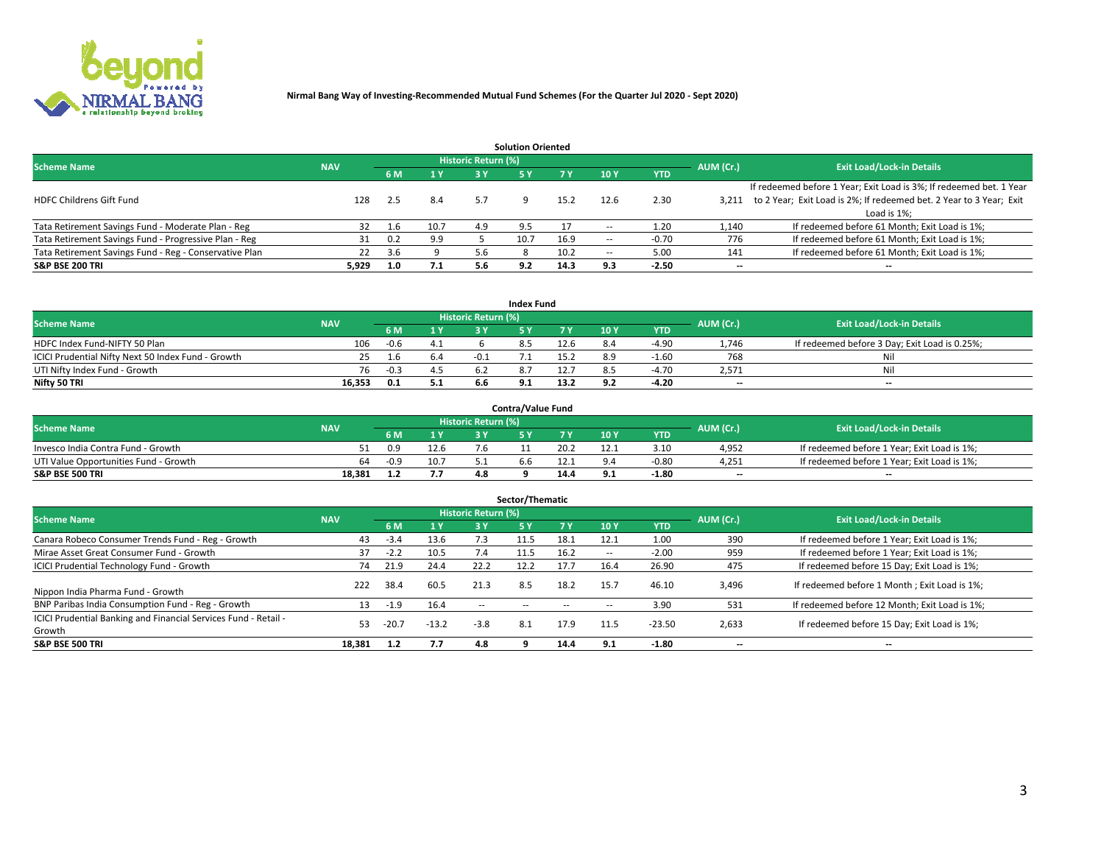

|                                                        |            |            |      |                            | <b>Solution Oriented</b> |      |                          |            |                          |                                                                     |
|--------------------------------------------------------|------------|------------|------|----------------------------|--------------------------|------|--------------------------|------------|--------------------------|---------------------------------------------------------------------|
| <b>Scheme Name</b>                                     | <b>NAV</b> |            |      | <b>Historic Return (%)</b> |                          |      |                          |            | AUM (Cr.)                | <b>Exit Load/Lock-in Details</b>                                    |
|                                                        |            | <b>6 M</b> | 1 Y  | 3 Y                        |                          |      | 10Y                      | <b>YTD</b> |                          |                                                                     |
|                                                        |            |            |      |                            |                          |      |                          |            |                          | If redeemed before 1 Year; Exit Load is 3%; If redeemed bet. 1 Year |
| <b>HDFC Childrens Gift Fund</b>                        | 128        | 2.5        | 8.4  | 5.7                        |                          | 15.2 | 12.6                     | 2.30       | 3.211                    | to 2 Year; Exit Load is 2%; If redeemed bet. 2 Year to 3 Year; Exit |
|                                                        |            |            |      |                            |                          |      |                          |            |                          | Load is 1%;                                                         |
| Tata Retirement Savings Fund - Moderate Plan - Reg     | 32         | 1.6        | 10.7 | 4.9                        | 9.5                      |      | --                       | 1.20       | 1,140                    | If redeemed before 61 Month; Exit Load is 1%;                       |
| Tata Retirement Savings Fund - Progressive Plan - Reg  | 31         | 0.2        | 9.9  |                            | 10.7                     | 16.9 | $\overline{\phantom{a}}$ | $-0.70$    | 776                      | If redeemed before 61 Month; Exit Load is 1%;                       |
| Tata Retirement Savings Fund - Reg - Conservative Plan | 22         | 3.6        |      |                            |                          | 10.2 | $\overline{\phantom{a}}$ | 5.00       | 141                      | If redeemed before 61 Month; Exit Load is 1%;                       |
| S&P BSE 200 TRI                                        | 5,929      | 1.0        | 7.1  | 5.6                        | 9.2                      | 14.3 | 9.3                      | $-2.50$    | $\overline{\phantom{a}}$ | $- -$                                                               |

|                                                    |            |        |              |                            | <b>Index Fund</b> |      |      |            |                          |                                               |
|----------------------------------------------------|------------|--------|--------------|----------------------------|-------------------|------|------|------------|--------------------------|-----------------------------------------------|
| <b>Scheme Name</b>                                 | <b>NAV</b> |        |              | <b>Historic Return (%)</b> |                   |      |      |            | AUM (Cr.)                | <b>Exit Load/Lock-in Details</b>              |
|                                                    |            |        | $\sqrt{1}$ Y | 2 V                        |                   | 7 V  | 10 Y | <b>YTD</b> |                          |                                               |
| HDFC Index Fund-NIFTY 50 Plan                      | 106        | $-0.6$ | 4.1          |                            |                   | 12.6 |      | $-4.90$    | 1,746                    | If redeemed before 3 Day; Exit Load is 0.25%; |
| ICICI Prudential Nifty Next 50 Index Fund - Growth |            |        | b.4          |                            |                   |      |      | $-1.60$    | 768                      | Nil                                           |
| UTI Nifty Index Fund - Growth                      | 76         | $-0.3$ |              |                            |                   |      |      | $-4.70$    | 2,571                    | Nil                                           |
| Nifty 50 TRI                                       | 16,353     | 0.1    | 5.1          | 6.6                        |                   | 13.2 | 9.2  | $-4.20$    | $\overline{\phantom{a}}$ | $- -$                                         |

|                                       |            |        |                        |                            | <b>Contra/Value Fund</b> |      |     |            |                          |                                             |
|---------------------------------------|------------|--------|------------------------|----------------------------|--------------------------|------|-----|------------|--------------------------|---------------------------------------------|
| <b>Scheme Name</b>                    | <b>NAV</b> |        |                        | <b>Historic Return (%)</b> |                          |      |     |            | AUM (Cr.)                | <b>Exit Load/Lock-in Details</b>            |
|                                       |            |        | $\blacktriangleleft$ Y |                            |                          | 7 V  | 10Y | <b>YTD</b> |                          |                                             |
| Invesco India Contra Fund - Growth    |            | 0.9    | 12.6                   |                            |                          | 20.2 |     | 3.10       | 4,952                    | If redeemed before 1 Year; Exit Load is 1%; |
| UTI Value Opportunities Fund - Growth | 64         | $-0.9$ | 10.7                   |                            |                          |      |     | $-0.80$    | 4,251                    | If redeemed before 1 Year; Exit Load is 1%; |
| <b>S&amp;P BSE 500 TRI</b>            | 18.381     |        |                        | 4.8                        |                          | 14.4 |     | $-1.80$    | $\overline{\phantom{a}}$ | $- -$                                       |

| Sector/Thematic                                                           |            |        |         |                     |            |            |                          |            |                          |                                               |  |  |  |
|---------------------------------------------------------------------------|------------|--------|---------|---------------------|------------|------------|--------------------------|------------|--------------------------|-----------------------------------------------|--|--|--|
| <b>Scheme Name</b>                                                        | <b>NAV</b> |        |         | Historic Return (%) |            |            |                          |            | AUM (Cr.)                | <b>Exit Load/Lock-in Details</b>              |  |  |  |
|                                                                           |            | 6 M    | 1 Y     | 3 Y                 | <b>5Y</b>  | <b>7 Y</b> | 10Y                      | <b>YTD</b> |                          |                                               |  |  |  |
| Canara Robeco Consumer Trends Fund - Reg - Growth                         | 43         | $-3.4$ | 13.6    | 7.3                 | 11.5       | 18.1       | 12.1                     | 1.00       | 390                      | If redeemed before 1 Year; Exit Load is 1%;   |  |  |  |
| Mirae Asset Great Consumer Fund - Growth                                  | 37         | $-2.2$ | 10.5    | 7.4                 | 11.5       | 16.2       | $\overline{\phantom{a}}$ | $-2.00$    | 959                      | If redeemed before 1 Year; Exit Load is 1%;   |  |  |  |
| <b>ICICI Prudential Technology Fund - Growth</b>                          | 74         | 21.9   | 24.4    | 22.2                | 12.2       | 17.7       | 16.4                     | 26.90      | 475                      | If redeemed before 15 Day; Exit Load is 1%;   |  |  |  |
| Nippon India Pharma Fund - Growth                                         | 222        | 38.4   | 60.5    | 21.3                | 8.5        | 18.2       | 15.7                     | 46.10      | 3,496                    | If redeemed before 1 Month; Exit Load is 1%;  |  |  |  |
| BNP Paribas India Consumption Fund - Reg - Growth                         | 13         | $-1.9$ | 16.4    | $\sim$ $\sim$       | $\sim$ $-$ | $- -$      | $\overline{\phantom{a}}$ | 3.90       | 531                      | If redeemed before 12 Month; Exit Load is 1%; |  |  |  |
| ICICI Prudential Banking and Financial Services Fund - Retail -<br>Growth | 53         | -20.7  | $-13.2$ | $-3.8$              | 8.1        | 17.9       | 11.5                     | $-23.50$   | 2,633                    | If redeemed before 15 Day; Exit Load is 1%;   |  |  |  |
| <b>S&amp;P BSE 500 TRI</b>                                                | 18,381     | 1.2    | 7.7     | 4.8                 |            | 14.4       | 9.1                      | $-1.80$    | $\overline{\phantom{a}}$ | --                                            |  |  |  |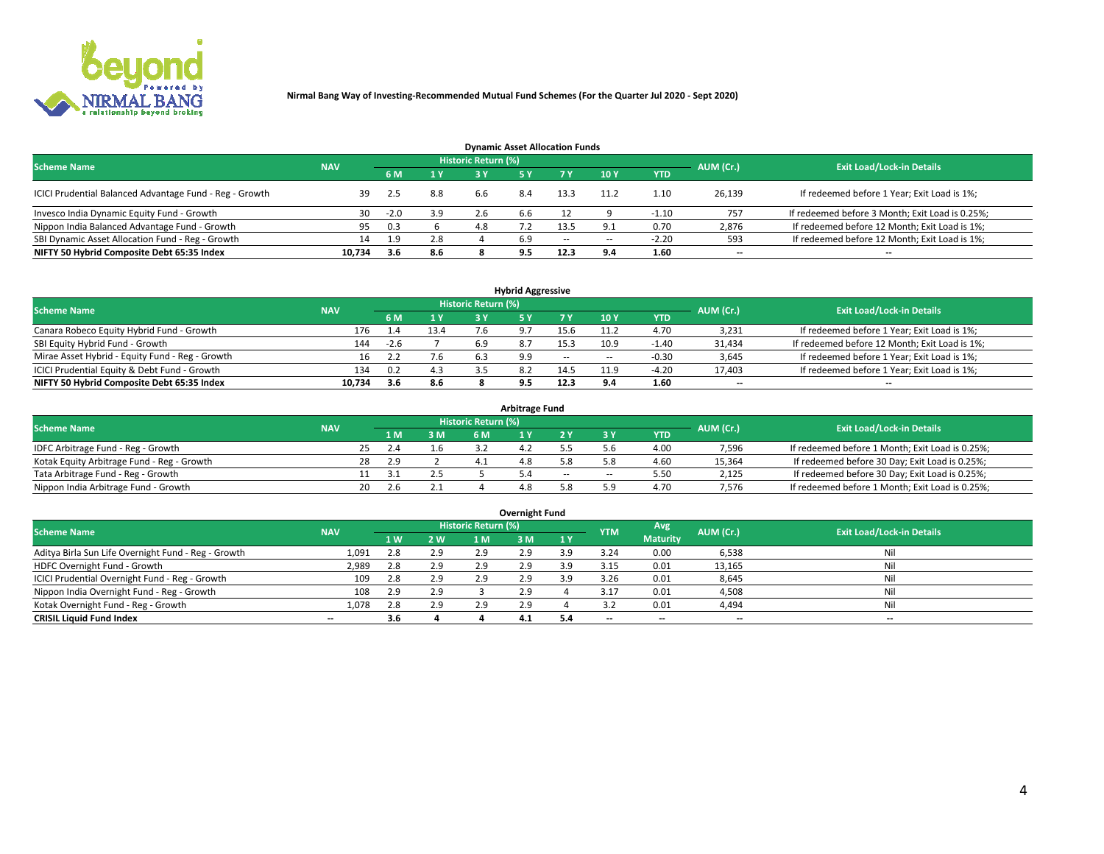

| <b>Dynamic Asset Allocation Funds</b>                   |                                                                             |        |     |     |     |        |                          |            |        |                                                 |  |  |  |  |  |
|---------------------------------------------------------|-----------------------------------------------------------------------------|--------|-----|-----|-----|--------|--------------------------|------------|--------|-------------------------------------------------|--|--|--|--|--|
|                                                         | <b>Historic Return (%)</b><br><b>Scheme Name</b><br>AUM (Cr.)<br><b>NAV</b> |        |     |     |     |        |                          |            |        |                                                 |  |  |  |  |  |
|                                                         |                                                                             | 6 M    | 1 Y |     |     |        | $-10Y$                   | <b>YTD</b> |        | <b>Exit Load/Lock-in Details</b>                |  |  |  |  |  |
| ICICI Prudential Balanced Advantage Fund - Reg - Growth | 39                                                                          | 2.5    | 8.8 | 6.6 | 8.4 | 13.3   |                          | 1.10       | 26,139 | If redeemed before 1 Year; Exit Load is 1%;     |  |  |  |  |  |
| Invesco India Dynamic Equity Fund - Growth              | 30                                                                          | $-2.0$ | 3.9 | 2.6 | b.b |        |                          | $-1.10$    | 757    | If redeemed before 3 Month; Exit Load is 0.25%; |  |  |  |  |  |
| Nippon India Balanced Advantage Fund - Growth           | 95                                                                          | 0.3    |     | 4.8 |     |        |                          | 0.70       | 2,876  | If redeemed before 12 Month; Exit Load is 1%;   |  |  |  |  |  |
| SBI Dynamic Asset Allocation Fund - Reg - Growth        | 14                                                                          | 1.9    | 2.8 |     | 6.9 | $\sim$ | $\overline{\phantom{a}}$ | $-2.20$    | 593    | If redeemed before 12 Month; Exit Load is 1%;   |  |  |  |  |  |
| NIFTY 50 Hybrid Composite Debt 65:35 Index              | 10,734                                                                      | 3.6    | 8.6 |     | 9.5 | 12.3   | 9.4                      | 1.60       | $- -$  | $- -$                                           |  |  |  |  |  |

|                                                 |            |              |      |                     | <b>Hybrid Aggressive</b> |        |                          |            |                          |                                               |
|-------------------------------------------------|------------|--------------|------|---------------------|--------------------------|--------|--------------------------|------------|--------------------------|-----------------------------------------------|
| <b>Scheme Name</b>                              | <b>NAV</b> |              |      | Historic Return (%) |                          |        |                          |            | AUM (Cr.)                | <b>Exit Load/Lock-in Details</b>              |
|                                                 |            | 6 M          | 1 Y  | RУ                  |                          |        | 10Y                      | <b>YTD</b> |                          |                                               |
| Canara Robeco Equity Hybrid Fund - Growth       | 176        | $\mathbf{A}$ | 13.4 |                     |                          | 15.6   | 11.2                     | 4.70       | 3,231                    | If redeemed before 1 Year; Exit Load is 1%;   |
| SBI Equity Hybrid Fund - Growth                 | 144        | $-2.6$       |      | 6.9                 |                          | 15.3   | 10.9                     | $-1.40$    | 31,434                   | If redeemed before 12 Month; Exit Load is 1%; |
| Mirae Asset Hybrid - Equity Fund - Reg - Growth | 16         |              | 7.6  |                     | 9.9                      | $\sim$ | $\overline{\phantom{a}}$ | -0.30      | 3,645                    | If redeemed before 1 Year; Exit Load is 1%;   |
| ICICI Prudential Equity & Debt Fund - Growth    | 134        | 0.2          | 4.3  |                     |                          | 14.5   | 11.9                     | -4.20      | 17,403                   | If redeemed before 1 Year; Exit Load is 1%;   |
| NIFTY 50 Hybrid Composite Debt 65:35 Index      | 10.734     | 3.6          | 8.6  |                     |                          | 12.3   |                          | 1.60       | $\overline{\phantom{a}}$ | $- -$                                         |

| <b>Arbitrage Fund</b>                      |            |      |     |                     |     |        |        |            |           |                                                 |  |  |  |  |
|--------------------------------------------|------------|------|-----|---------------------|-----|--------|--------|------------|-----------|-------------------------------------------------|--|--|--|--|
| <b>Scheme Name</b>                         | <b>NAV</b> |      |     | Historic Return (%) |     |        |        |            | AUM (Cr.) | <b>Exit Load/Lock-in Details</b>                |  |  |  |  |
|                                            |            | 1 M. | 3 M | <b>6M</b>           |     |        |        | <b>YTD</b> |           |                                                 |  |  |  |  |
| IDFC Arbitrage Fund - Reg - Growth         |            | 25   |     |                     | 4.4 |        |        | 4.00       | 7,596     | If redeemed before 1 Month; Exit Load is 0.25%; |  |  |  |  |
| Kotak Equity Arbitrage Fund - Reg - Growth | 28         | 2.9  |     |                     |     |        |        | 4.60       | 15,364    | If redeemed before 30 Day; Exit Load is 0.25%;  |  |  |  |  |
| Tata Arbitrage Fund - Reg - Growth         |            |      |     |                     |     | $\sim$ | $\sim$ | 5.50       | 2,125     | If redeemed before 30 Day; Exit Load is 0.25%;  |  |  |  |  |
| Nippon India Arbitrage Fund - Growth       | 20         | 2.6  |     |                     | 4.8 |        | ິດ     | 4.70       | 7.576     | If redeemed before 1 Month; Exit Load is 0.25%; |  |  |  |  |

|                                                     |            |           |     |                     | Overnight Fund |           |            |                 |                          |                                  |
|-----------------------------------------------------|------------|-----------|-----|---------------------|----------------|-----------|------------|-----------------|--------------------------|----------------------------------|
| <b>Scheme Name</b>                                  | <b>NAV</b> |           |     | Historic Return (%) |                |           | <b>YTM</b> | Avg             | AUM (Cr.)                | <b>Exit Load/Lock-in Details</b> |
|                                                     |            | <b>1W</b> | 2 W | 1 M                 | : M            | <b>1Y</b> |            | <b>Maturity</b> |                          |                                  |
| Aditya Birla Sun Life Overnight Fund - Reg - Growth | 1,091      | 2.8       | 2.9 | 2.9                 | 2.9            | 3 Q       | 3.24       | 0.00            | 6,538                    | Nil                              |
| HDFC Overnight Fund - Growth                        | 2,989      | 2.8       | 2.9 | 2.9                 | 2.9            | ıа        | 3.15       | 0.01            | 13,165                   | Nil                              |
| ICICI Prudential Overnight Fund - Reg - Growth      | 109        | 2.8       | 2.9 | 2.9                 | 2.5            | ιa        | 3.26       | 0.01            | 8,645                    | Nil                              |
| Nippon India Overnight Fund - Reg - Growth          | 108        | 2.9       | 2.9 |                     | 2.9            |           | 3.17       | 0.01            | 4,508                    | Nil                              |
| Kotak Overnight Fund - Reg - Growth                 | 1,078      | 2.8       | 2.9 | 2.9                 | 2.9            |           |            | 0.01            | 4,494                    | Nil                              |
| <b>CRISIL Liquid Fund Index</b>                     | $-$        | 3.6       |     |                     | 4.1            |           | --         | $- -$           | $\overline{\phantom{a}}$ | $- -$                            |

### **Overnight Fund**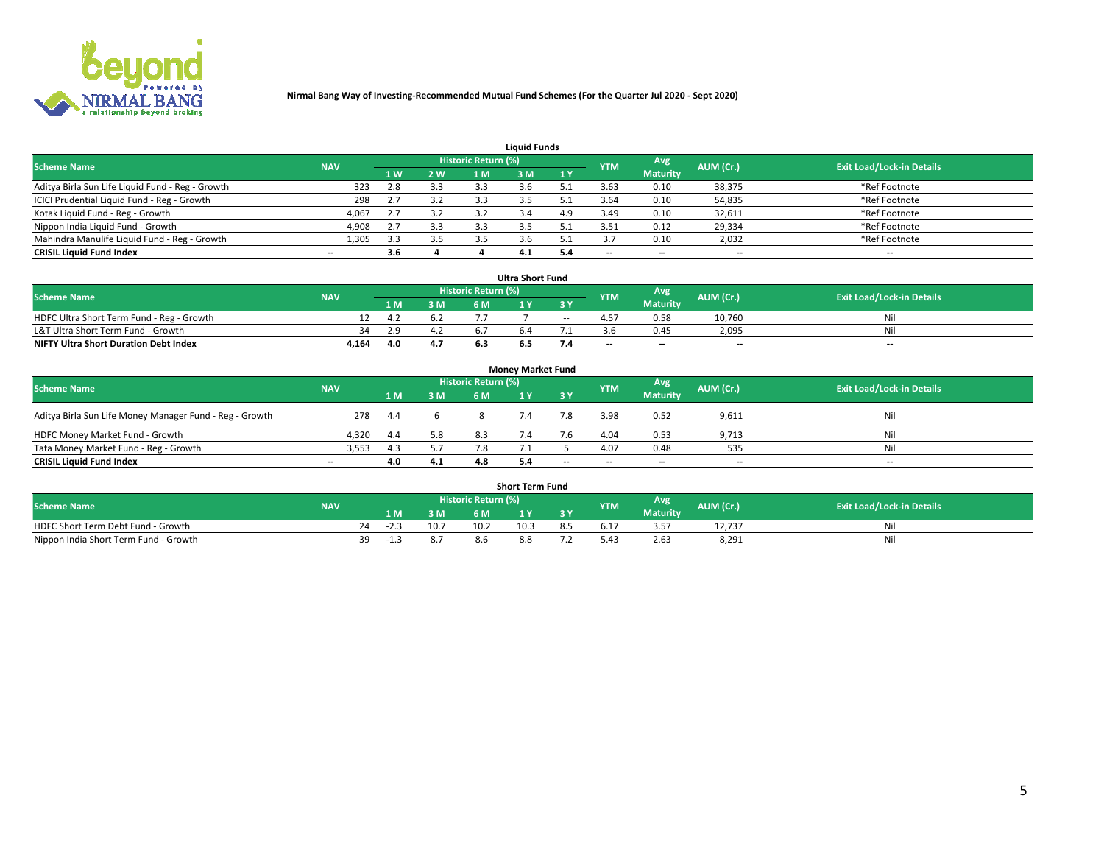

|                                                  |            |     |     |                     | <b>Liquid Funds</b> |     |            |                 |           |                                  |
|--------------------------------------------------|------------|-----|-----|---------------------|---------------------|-----|------------|-----------------|-----------|----------------------------------|
| <b>Scheme Name</b>                               | <b>NAV</b> |     |     | Historic Return (%) |                     |     | <b>YTM</b> | Avg             | AUM (Cr.) | <b>Exit Load/Lock-in Details</b> |
|                                                  |            | 4W  | 2 W | 1 M                 | M                   | 1 Y |            | <b>Maturity</b> |           |                                  |
| Aditya Birla Sun Life Liquid Fund - Reg - Growth | 323        | 2.8 | 3.3 | 3.3                 |                     |     | 3.63       | 0.10            | 38,375    | *Ref Footnote                    |
| ICICI Prudential Liquid Fund - Reg - Growth      | 298        |     | 3.2 | 3.3                 |                     |     | 3.64       | 0.10            | 54,835    | *Ref Footnote                    |
| Kotak Liquid Fund - Reg - Growth                 | 4,067      |     | 3.2 |                     |                     | 4.9 | 3.49       | 0.10            | 32,611    | *Ref Footnote                    |
| Nippon India Liquid Fund - Growth                | 4,908      |     | 3.3 |                     |                     |     | 3.51       | 0.12            | 29,334    | *Ref Footnote                    |
| Mahindra Manulife Liquid Fund - Reg - Growth     | 1,305      | 3.3 | 3.5 |                     |                     |     |            | 0.10            | 2,032     | *Ref Footnote                    |
| <b>CRISIL Liquid Fund Index</b>                  | $- -$      | 3.6 |     |                     | 4.1                 |     | --         | $- -$           | --        | $- -$                            |

| <b>Ultra Short Fund</b>                      |            |     |     |                            |  |        |                          |                 |                          |                                  |  |  |  |
|----------------------------------------------|------------|-----|-----|----------------------------|--|--------|--------------------------|-----------------|--------------------------|----------------------------------|--|--|--|
| <b>Scheme Name</b>                           | <b>NAV</b> |     |     | <b>Historic Return (%)</b> |  |        | <b>YTM</b>               | Avg             | AUM (Cr.)                | <b>Exit Load/Lock-in Details</b> |  |  |  |
|                                              |            | 1 M | 3 M | 6 M                        |  | 3 Y    |                          | <b>Maturity</b> |                          |                                  |  |  |  |
| HDFC Ultra Short Term Fund - Reg - Growth    |            | 4.2 | 6.2 |                            |  | $\sim$ |                          | 0.58            | 10,760                   | Nil                              |  |  |  |
| L&T Ultra Short Term Fund - Growth           | 34         | 2.9 | 4.Z |                            |  |        |                          | 0.45            | 2.095                    | Nil                              |  |  |  |
| <b>NIFTY Ultra Short Duration Debt Index</b> | 4,164      | 4.0 | 4.7 |                            |  |        | $\overline{\phantom{a}}$ | $- -$           | $\overline{\phantom{a}}$ | $- -$                            |  |  |  |

| <b>Money Market Fund</b>                                |            |     |     |                     |  |           |                          |                 |                          |                                  |  |  |  |  |
|---------------------------------------------------------|------------|-----|-----|---------------------|--|-----------|--------------------------|-----------------|--------------------------|----------------------------------|--|--|--|--|
| <b>Scheme Name</b>                                      | <b>NAV</b> |     |     | Historic Return (%) |  |           | <b>YTM</b>               | Avg             | AUM (Cr.)                | <b>Exit Load/Lock-in Details</b> |  |  |  |  |
|                                                         |            | 1 M | 3 M | 6 M                 |  | <b>3Y</b> |                          | <b>Maturity</b> |                          |                                  |  |  |  |  |
| Aditya Birla Sun Life Money Manager Fund - Reg - Growth | 278        | 4.4 |     |                     |  | 7.8       | 3.98                     | 0.52            | 9,611                    | Nil                              |  |  |  |  |
| HDFC Money Market Fund - Growth                         | 4.320      | 4.4 | 5.8 | 8.3                 |  |           | 4.04                     | 0.53            | 9,713                    | Nil                              |  |  |  |  |
| Tata Money Market Fund - Reg - Growth                   | 3,553      | 4.3 | 5.7 | 7.8                 |  |           | 4.07                     | 0.48            | 535                      | Nil                              |  |  |  |  |
| <b>CRISIL Liquid Fund Index</b>                         | $- -$      | 4.0 | 4.1 | 4.8                 |  | $- -$     | $\overline{\phantom{a}}$ | $- -$           | $\overline{\phantom{a}}$ | $- -$                            |  |  |  |  |

|                                       |            |       |      |                     | <b>Short Term Fund</b> |    |      |                 |           |                                  |
|---------------------------------------|------------|-------|------|---------------------|------------------------|----|------|-----------------|-----------|----------------------------------|
| <b>Scheme Name</b>                    | <b>NAV</b> |       |      | Historic Return (%) |                        |    | YTM  | Avg             | AUM (Cr.) | <b>Exit Load/Lock-in Details</b> |
|                                       |            | 1 M . | 3 M  | 6 M                 | l M                    | 2V |      | <b>Maturity</b> |           |                                  |
| HDFC Short Term Debt Fund - Growth    | 24         | -2.3  | 10.7 | 10.2                | 10.3                   |    | 5.17 |                 | 12,737    | M                                |
| Nippon India Short Term Fund - Growth | 39         | -1.5  |      | 8.h                 |                        |    |      | 2.63            | 8,291     | N                                |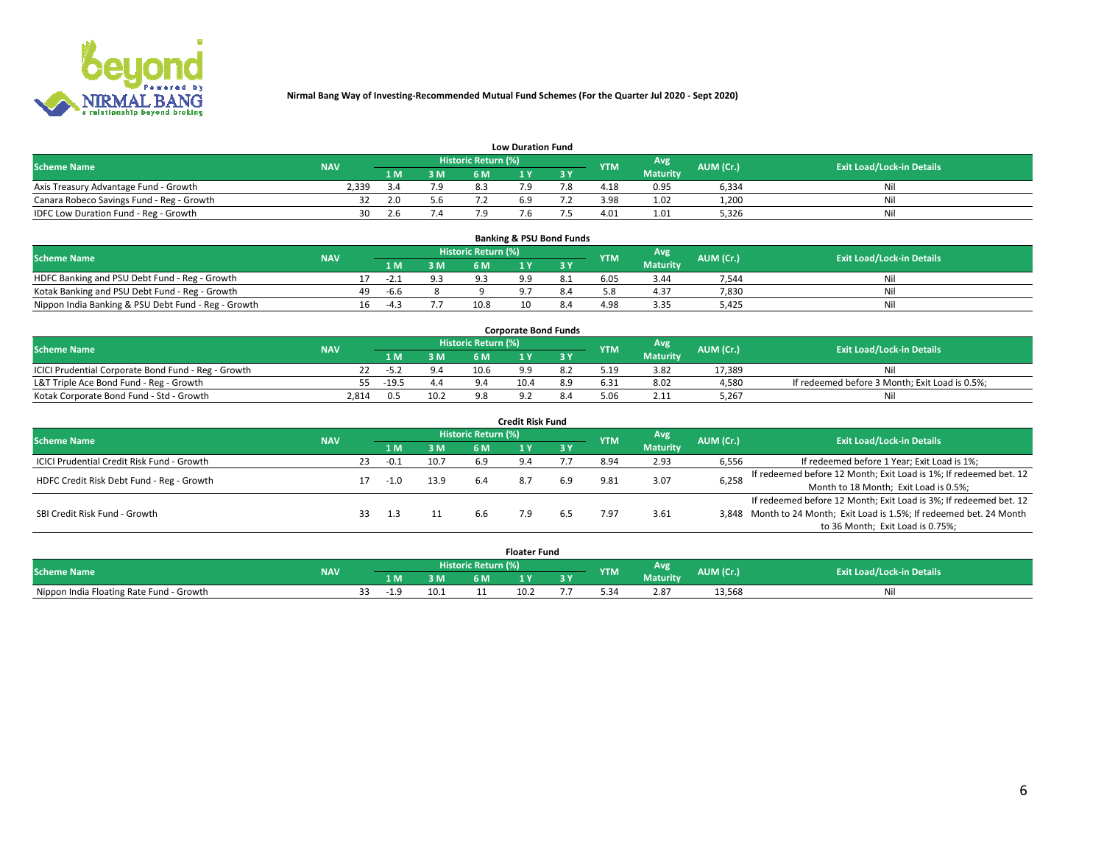

|                                           |            |     | <b>Low Duration Fund</b> |                            |     |     |            |                 |           |                                  |  |  |  |  |  |  |  |
|-------------------------------------------|------------|-----|--------------------------|----------------------------|-----|-----|------------|-----------------|-----------|----------------------------------|--|--|--|--|--|--|--|
| <b>Scheme Name</b>                        | <b>NAV</b> |     |                          | <b>Historic Return (%)</b> |     |     | <b>YTM</b> | Avg             | AUM (Cr.) | <b>Exit Load/Lock-in Details</b> |  |  |  |  |  |  |  |
|                                           |            | 1 M | 3 M                      |                            |     | 3 Y |            | <b>Maturity</b> |           |                                  |  |  |  |  |  |  |  |
| Axis Treasury Advantage Fund - Growth     | 2,339      |     | 7.9                      |                            |     |     | 4.18       | 0.95            | 6,334     | Nil                              |  |  |  |  |  |  |  |
| Canara Robeco Savings Fund - Reg - Growth |            | 2.0 | 5.6                      |                            | 6.9 |     | 3.98       | 1.02            | 1,200     | Nil                              |  |  |  |  |  |  |  |
| IDFC Low Duration Fund - Reg - Growth     | 30         | 2.6 | 4.'                      |                            |     |     | 4.01       | 1.01            | 5,326     | Nil                              |  |  |  |  |  |  |  |

| <b>Banking &amp; PSU Bond Funds</b>                 |            |    |        |     |                     |  |     |            |                 |           |                                  |  |  |  |
|-----------------------------------------------------|------------|----|--------|-----|---------------------|--|-----|------------|-----------------|-----------|----------------------------------|--|--|--|
| <b>Scheme Name</b>                                  | <b>NAV</b> |    |        |     | Historic Return (%) |  |     | <b>YTM</b> | Avg             | AUM (Cr.) | <b>Exit Load/Lock-in Details</b> |  |  |  |
|                                                     |            |    | 1 M    | 3 M | 6 M                 |  | 3 V |            | <b>Maturity</b> |           |                                  |  |  |  |
| HDFC Banking and PSU Debt Fund - Reg - Growth       |            |    | $-2.1$ |     |                     |  |     | 6.05       | 3.44            | 7,544     | Ni                               |  |  |  |
| Kotak Banking and PSU Debt Fund - Reg - Growth      |            | 49 | -6.6   |     |                     |  | 8.4 |            | 4.37            | 7,830     | Ni                               |  |  |  |
| Nippon India Banking & PSU Debt Fund - Reg - Growth |            | 16 | -4.3   |     | 10.8                |  |     | 4.98       | 3.35            | 5.425     | Ni                               |  |  |  |

| <b>Corporate Bond Funds</b>                         |            |         |      |                            |      |  |            |                 |           |                                                |  |  |  |  |
|-----------------------------------------------------|------------|---------|------|----------------------------|------|--|------------|-----------------|-----------|------------------------------------------------|--|--|--|--|
| <b>Scheme Name</b>                                  | <b>NAV</b> |         |      | <b>Historic Return (%)</b> |      |  | <b>YTM</b> | Avg             | AUM (Cr.) | <b>Exit Load/Lock-in Details</b>               |  |  |  |  |
|                                                     |            |         | 3 M  | 6 M.                       |      |  |            | <b>Maturity</b> |           |                                                |  |  |  |  |
| ICICI Prudential Corporate Bond Fund - Reg - Growth |            | -5.4    |      | 10.6                       |      |  | 5.19       | 3.82            | 17.389    | Nil                                            |  |  |  |  |
| L&T Triple Ace Bond Fund - Reg - Growth             |            | $-19.5$ | 4.4  |                            | 10.4 |  | 6.31       | 8.02            | 4,580     | If redeemed before 3 Month; Exit Load is 0.5%; |  |  |  |  |
| Kotak Corporate Bond Fund - Std - Growth            | 2.814      | 0.5     | 10.2 |                            |      |  |            | 2.11            | 5,267     | Nil                                            |  |  |  |  |

| <b>Credit Risk Fund</b>                    |            |    |        |      |                     |     |           |            |                 |           |                                                                       |  |  |  |
|--------------------------------------------|------------|----|--------|------|---------------------|-----|-----------|------------|-----------------|-----------|-----------------------------------------------------------------------|--|--|--|
| <b>Scheme Name</b>                         | <b>NAV</b> |    |        |      | Historic Return (%) |     |           | <b>YTM</b> | <b>Avg</b>      | AUM (Cr.) | <b>Exit Load/Lock-in Details</b>                                      |  |  |  |
|                                            |            |    | 1 M    | 3 M  | <b>6M</b>           |     | <b>3Y</b> |            | <b>Maturity</b> |           |                                                                       |  |  |  |
| ICICI Prudential Credit Risk Fund - Growth |            | 23 | $-0.1$ | 10.7 | 6.9                 | 9.4 |           | 8.94       | 2.93            | 6,556     | If redeemed before 1 Year; Exit Load is 1%;                           |  |  |  |
| HDFC Credit Risk Debt Fund - Reg - Growth  |            |    | $-1.0$ | 13.9 | 6.4                 | 8.7 | 6.9       | 9.81       | 3.07            | 6,258     | If redeemed before 12 Month; Exit Load is 1%; If redeemed bet. 12     |  |  |  |
|                                            |            |    |        |      |                     |     |           |            |                 |           | Month to 18 Month; Exit Load is 0.5%;                                 |  |  |  |
|                                            |            |    |        |      |                     |     |           |            |                 |           | If redeemed before 12 Month; Exit Load is 3%; If redeemed bet. 12     |  |  |  |
| SBI Credit Risk Fund - Growth              |            |    | 1.3    |      | b.b                 |     |           | 7.97       | 3.61            |           | 3,848 Month to 24 Month; Exit Load is 1.5%; If redeemed bet. 24 Month |  |  |  |
|                                            |            |    |        |      |                     |     |           |            |                 |           | to 36 Month; Exit Load is 0.75%;                                      |  |  |  |

| <b>Floater Fund</b>                      |            |  |        |      |                     |      |   |            |                 |           |                                  |
|------------------------------------------|------------|--|--------|------|---------------------|------|---|------------|-----------------|-----------|----------------------------------|
| <b>Scheme Name</b>                       | <b>NAV</b> |  |        |      | Historic Return (%) |      |   | <b>YTM</b> | Avg             | AUM (Cr.) | <b>Exit Load/Lock-in Details</b> |
|                                          |            |  | 1 M    | ЗM   | 6 M                 | .    | . |            | <b>Maturity</b> |           |                                  |
| Nippon India Floating Rate Fund - Growth |            |  | $-1.0$ | 10.1 |                     | 10.2 |   |            | 2.87            | 13,568    | NL                               |